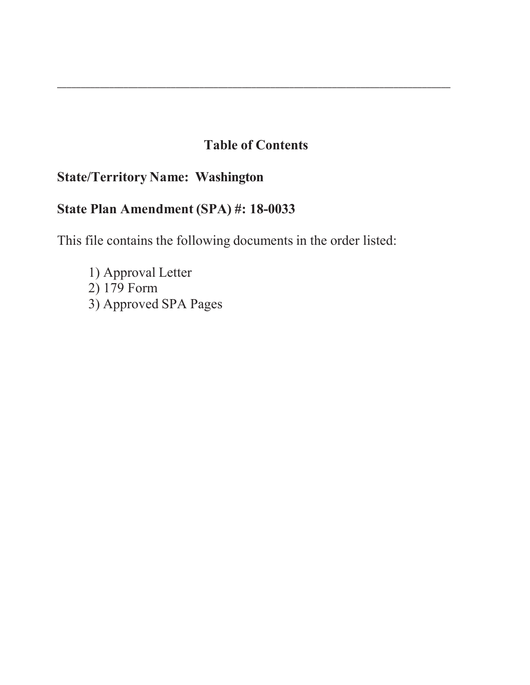# **Table of Contents**

\_\_\_\_\_\_\_\_\_\_\_\_\_\_\_\_\_\_\_\_\_\_\_\_\_\_\_\_\_\_\_\_\_\_\_\_\_\_\_\_\_\_\_\_\_\_\_\_\_\_\_\_\_\_\_\_\_\_\_\_\_\_\_\_\_\_\_\_\_\_\_\_\_\_\_\_\_\_\_\_\_\_\_

# **State/Territory Name: Washington**

# **State Plan Amendment (SPA) #: 18-0033**

This file contains the following documents in the order listed:

1) Approval Letter 2) 179 Form 3) Approved SPA Pages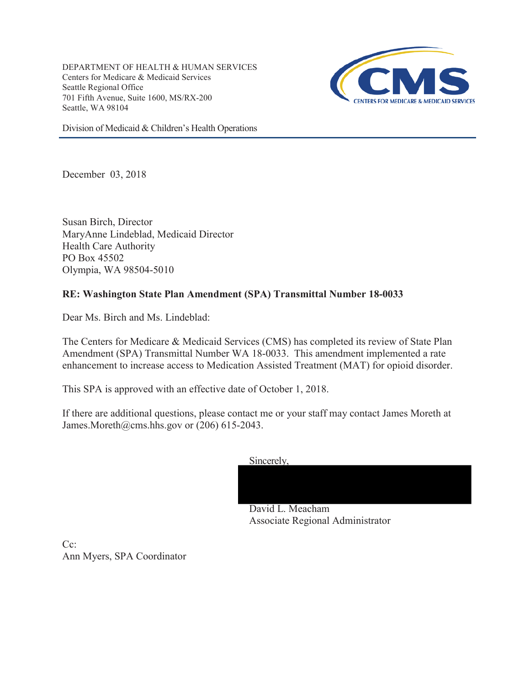DEPARTMENT OF HEALTH & HUMAN SERVICES Centers for Medicare & Medicaid Services Seattle Regional Office 701 Fifth Avenue, Suite 1600, MS/RX-200 Seattle, WA 98104



Division of Medicaid & Children's Health Operations

December 03, 2018

Susan Birch, Director MaryAnne Lindeblad, Medicaid Director Health Care Authority PO Box 45502 Olympia, WA 98504-5010

## **RE: Washington State Plan Amendment (SPA) Transmittal Number 18-0033**

Dear Ms. Birch and Ms. Lindeblad:

The Centers for Medicare & Medicaid Services (CMS) has completed its review of State Plan Amendment (SPA) Transmittal Number WA 18-0033. This amendment implemented a rate enhancement to increase access to Medication Assisted Treatment (MAT) for opioid disorder.

This SPA is approved with an effective date of October 1, 2018.

If there are additional questions, please contact me or your staff may contact James Moreth at James.Moreth@cms.hhs.gov or  $(206)$  615-2043.





Associate Regional Administrator

 $Ce^+$ Ann Myers, SPA Coordinator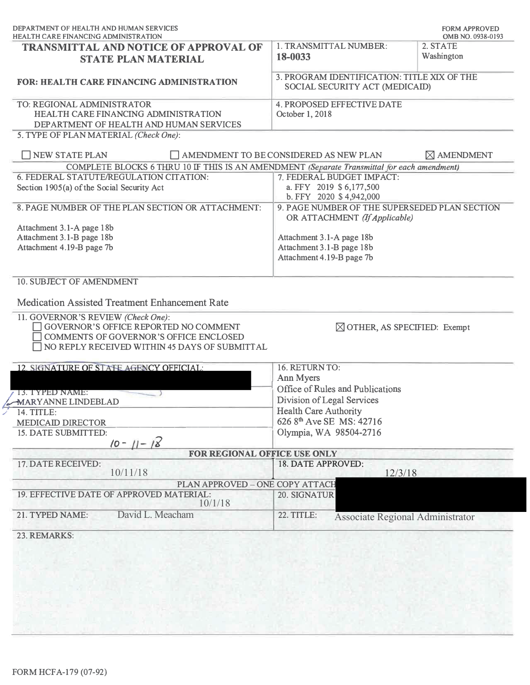|                                                                                     | OMB NO. 0938-0193                                                                                                                                                                                                                                                                                                                                                                                                                                                                                                                                                                                                                                     |
|-------------------------------------------------------------------------------------|-------------------------------------------------------------------------------------------------------------------------------------------------------------------------------------------------------------------------------------------------------------------------------------------------------------------------------------------------------------------------------------------------------------------------------------------------------------------------------------------------------------------------------------------------------------------------------------------------------------------------------------------------------|
| 1. TRANSMITTAL NUMBER:<br>18-0033                                                   | 2. STATE<br>Washington                                                                                                                                                                                                                                                                                                                                                                                                                                                                                                                                                                                                                                |
|                                                                                     |                                                                                                                                                                                                                                                                                                                                                                                                                                                                                                                                                                                                                                                       |
| <b>4. PROPOSED EFFECTIVE DATE</b><br>October 1, 2018                                |                                                                                                                                                                                                                                                                                                                                                                                                                                                                                                                                                                                                                                                       |
|                                                                                     | $\boxtimes$ AMENDMENT                                                                                                                                                                                                                                                                                                                                                                                                                                                                                                                                                                                                                                 |
|                                                                                     |                                                                                                                                                                                                                                                                                                                                                                                                                                                                                                                                                                                                                                                       |
| 7. FEDERAL BUDGET IMPACT:<br>a. FFY 2019 \$6,177,500                                |                                                                                                                                                                                                                                                                                                                                                                                                                                                                                                                                                                                                                                                       |
|                                                                                     |                                                                                                                                                                                                                                                                                                                                                                                                                                                                                                                                                                                                                                                       |
| Attachment 3.1-A page 18b<br>Attachment 3.1-B page 18b<br>Attachment 4.19-B page 7b |                                                                                                                                                                                                                                                                                                                                                                                                                                                                                                                                                                                                                                                       |
|                                                                                     |                                                                                                                                                                                                                                                                                                                                                                                                                                                                                                                                                                                                                                                       |
| 16. RETURN TO:                                                                      |                                                                                                                                                                                                                                                                                                                                                                                                                                                                                                                                                                                                                                                       |
|                                                                                     |                                                                                                                                                                                                                                                                                                                                                                                                                                                                                                                                                                                                                                                       |
|                                                                                     |                                                                                                                                                                                                                                                                                                                                                                                                                                                                                                                                                                                                                                                       |
|                                                                                     |                                                                                                                                                                                                                                                                                                                                                                                                                                                                                                                                                                                                                                                       |
| 626 8 <sup>th</sup> Ave SE MS: 42716                                                |                                                                                                                                                                                                                                                                                                                                                                                                                                                                                                                                                                                                                                                       |
| Olympia, WA 98504-2716                                                              |                                                                                                                                                                                                                                                                                                                                                                                                                                                                                                                                                                                                                                                       |
|                                                                                     |                                                                                                                                                                                                                                                                                                                                                                                                                                                                                                                                                                                                                                                       |
|                                                                                     |                                                                                                                                                                                                                                                                                                                                                                                                                                                                                                                                                                                                                                                       |
|                                                                                     |                                                                                                                                                                                                                                                                                                                                                                                                                                                                                                                                                                                                                                                       |
|                                                                                     |                                                                                                                                                                                                                                                                                                                                                                                                                                                                                                                                                                                                                                                       |
| 22. TITLE:                                                                          |                                                                                                                                                                                                                                                                                                                                                                                                                                                                                                                                                                                                                                                       |
|                                                                                     |                                                                                                                                                                                                                                                                                                                                                                                                                                                                                                                                                                                                                                                       |
| NO REPLY RECEIVED WITHIN 45 DAYS OF SUBMITTAL                                       | 3. PROGRAM IDENTIFICATION: TITLE XIX OF THE<br>SOCIAL SECURITY ACT (MEDICAID)<br>AMENDMENT TO BE CONSIDERED AS NEW PLAN<br>COMPLETE BLOCKS 6 THRU 10 IF THIS IS AN AMENDMENT (Separate Transmittal for each amendment)<br>b. FFY 2020 \$4,942,000<br>9. PAGE NUMBER OF THE SUPERSEDED PLAN SECTION<br>OR ATTACHMENT (If Applicable)<br>$\boxtimes$ OTHER, AS SPECIFIED: Exempt<br>Ann Myers<br>Office of Rules and Publications<br>Division of Legal Services<br><b>Health Care Authority</b><br>FOR REGIONAL OFFICE USE ONLY<br>18. DATE APPROVED:<br>12/3/18<br>PLAN APPROVED - ONE COPY ATTACH<br>20. SIGNATUR<br>Associate Regional Administrator |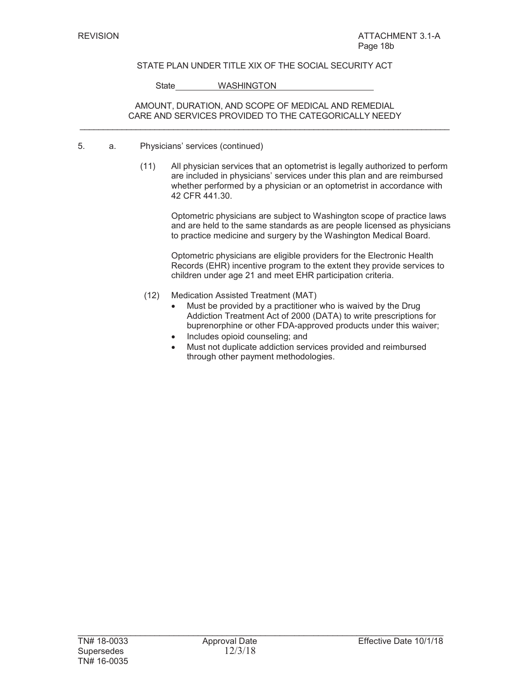### STATE PLAN UNDER TITLE XIX OF THE SOCIAL SECURITY ACT

State WASHINGTON

#### AMOUNT, DURATION, AND SCOPE OF MEDICAL AND REMEDIAL CARE AND SERVICES PROVIDED TO THE CATEGORICALLY NEEDY  $\mathcal{L}_\text{max}$  , and the set of the set of the set of the set of the set of the set of the set of the set of the set of the set of the set of the set of the set of the set of the set of the set of the set of the set of the

- 5. a. Physicians' services (continued)
	- (11) All physician services that an optometrist is legally authorized to perform are included in physicians' services under this plan and are reimbursed whether performed by a physician or an optometrist in accordance with 42 CFR 441.30.

Optometric physicians are subject to Washington scope of practice laws and are held to the same standards as are people licensed as physicians to practice medicine and surgery by the Washington Medical Board.

Optometric physicians are eligible providers for the Electronic Health Records (EHR) incentive program to the extent they provide services to children under age 21 and meet EHR participation criteria.

- (12) Medication Assisted Treatment (MAT)
	- Must be provided by a practitioner who is waived by the Drug Addiction Treatment Act of 2000 (DATA) to write prescriptions for buprenorphine or other FDA-approved products under this waiver;
	- Includes opioid counseling; and
	- Must not duplicate addiction services provided and reimbursed through other payment methodologies.

 $\mathcal{L}_\text{max}$  , and the set of the set of the set of the set of the set of the set of the set of the set of the set of the set of the set of the set of the set of the set of the set of the set of the set of the set of the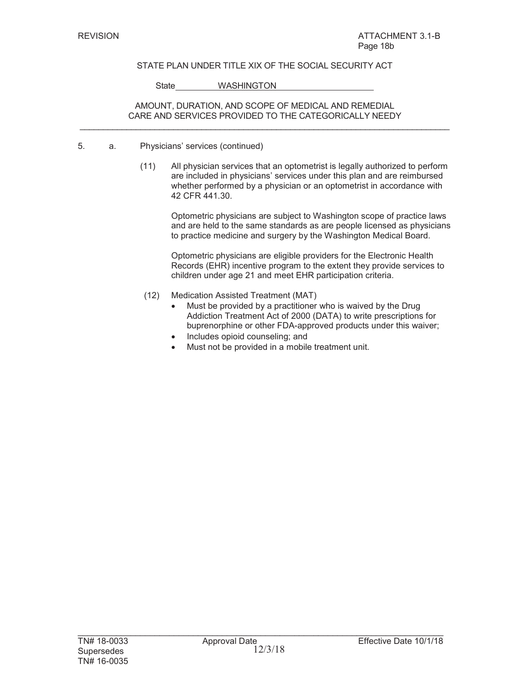### STATE PLAN UNDER TITLE XIX OF THE SOCIAL SECURITY ACT

State WASHINGTON

#### AMOUNT, DURATION, AND SCOPE OF MEDICAL AND REMEDIAL CARE AND SERVICES PROVIDED TO THE CATEGORICALLY NEEDY  $\mathcal{L}_\text{max}$  , and the set of the set of the set of the set of the set of the set of the set of the set of the set of the set of the set of the set of the set of the set of the set of the set of the set of the set of the

- 5. a. Physicians' services (continued)
	- (11) All physician services that an optometrist is legally authorized to perform are included in physicians' services under this plan and are reimbursed whether performed by a physician or an optometrist in accordance with 42 CFR 441.30.

Optometric physicians are subject to Washington scope of practice laws and are held to the same standards as are people licensed as physicians to practice medicine and surgery by the Washington Medical Board.

Optometric physicians are eligible providers for the Electronic Health Records (EHR) incentive program to the extent they provide services to children under age 21 and meet EHR participation criteria.

- (12) Medication Assisted Treatment (MAT)
	- Must be provided by a practitioner who is waived by the Drug Addiction Treatment Act of 2000 (DATA) to write prescriptions for buprenorphine or other FDA-approved products under this waiver;
	- Includes opioid counseling; and
	- Must not be provided in a mobile treatment unit.

 $\mathcal{L}_\text{max}$  , and the set of the set of the set of the set of the set of the set of the set of the set of the set of the set of the set of the set of the set of the set of the set of the set of the set of the set of the